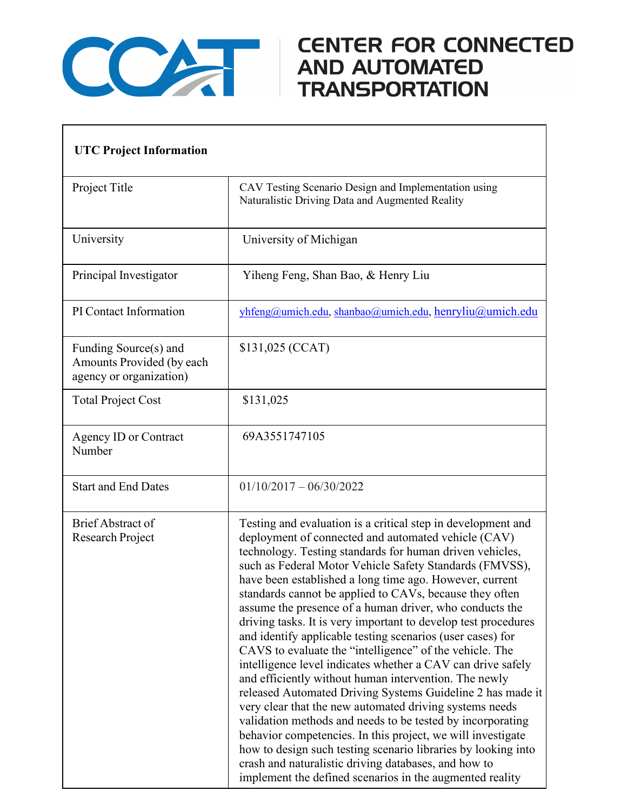

## CENTER FOR CONNECTED<br>AND AUTOMATED<br>TRANSPORTATION

| <b>UTC Project Information</b>                                                |                                                                                                                                                                                                                                                                                                                                                                                                                                                                                                                                                                                                                                                                                                                                                                                                                                                                                                                                                                                                                                                                                                                                                                                           |
|-------------------------------------------------------------------------------|-------------------------------------------------------------------------------------------------------------------------------------------------------------------------------------------------------------------------------------------------------------------------------------------------------------------------------------------------------------------------------------------------------------------------------------------------------------------------------------------------------------------------------------------------------------------------------------------------------------------------------------------------------------------------------------------------------------------------------------------------------------------------------------------------------------------------------------------------------------------------------------------------------------------------------------------------------------------------------------------------------------------------------------------------------------------------------------------------------------------------------------------------------------------------------------------|
| Project Title                                                                 | CAV Testing Scenario Design and Implementation using<br>Naturalistic Driving Data and Augmented Reality                                                                                                                                                                                                                                                                                                                                                                                                                                                                                                                                                                                                                                                                                                                                                                                                                                                                                                                                                                                                                                                                                   |
| University                                                                    | University of Michigan                                                                                                                                                                                                                                                                                                                                                                                                                                                                                                                                                                                                                                                                                                                                                                                                                                                                                                                                                                                                                                                                                                                                                                    |
| Principal Investigator                                                        | Yiheng Feng, Shan Bao, & Henry Liu                                                                                                                                                                                                                                                                                                                                                                                                                                                                                                                                                                                                                                                                                                                                                                                                                                                                                                                                                                                                                                                                                                                                                        |
| PI Contact Information                                                        | yhfeng@umich.edu, shanbao@umich.edu, henryliu@umich.edu                                                                                                                                                                                                                                                                                                                                                                                                                                                                                                                                                                                                                                                                                                                                                                                                                                                                                                                                                                                                                                                                                                                                   |
| Funding Source(s) and<br>Amounts Provided (by each<br>agency or organization) | \$131,025 (CCAT)                                                                                                                                                                                                                                                                                                                                                                                                                                                                                                                                                                                                                                                                                                                                                                                                                                                                                                                                                                                                                                                                                                                                                                          |
| <b>Total Project Cost</b>                                                     | \$131,025                                                                                                                                                                                                                                                                                                                                                                                                                                                                                                                                                                                                                                                                                                                                                                                                                                                                                                                                                                                                                                                                                                                                                                                 |
| <b>Agency ID or Contract</b><br>Number                                        | 69A3551747105                                                                                                                                                                                                                                                                                                                                                                                                                                                                                                                                                                                                                                                                                                                                                                                                                                                                                                                                                                                                                                                                                                                                                                             |
| <b>Start and End Dates</b>                                                    | $01/10/2017 - 06/30/2022$                                                                                                                                                                                                                                                                                                                                                                                                                                                                                                                                                                                                                                                                                                                                                                                                                                                                                                                                                                                                                                                                                                                                                                 |
| <b>Brief Abstract of</b><br>Research Project                                  | Testing and evaluation is a critical step in development and<br>deployment of connected and automated vehicle (CAV)<br>technology. Testing standards for human driven vehicles,<br>such as Federal Motor Vehicle Safety Standards (FMVSS),<br>have been established a long time ago. However, current<br>standards cannot be applied to CAVs, because they often<br>assume the presence of a human driver, who conducts the<br>driving tasks. It is very important to develop test procedures<br>and identify applicable testing scenarios (user cases) for<br>CAVS to evaluate the "intelligence" of the vehicle. The<br>intelligence level indicates whether a CAV can drive safely<br>and efficiently without human intervention. The newly<br>released Automated Driving Systems Guideline 2 has made it<br>very clear that the new automated driving systems needs<br>validation methods and needs to be tested by incorporating<br>behavior competencies. In this project, we will investigate<br>how to design such testing scenario libraries by looking into<br>crash and naturalistic driving databases, and how to<br>implement the defined scenarios in the augmented reality |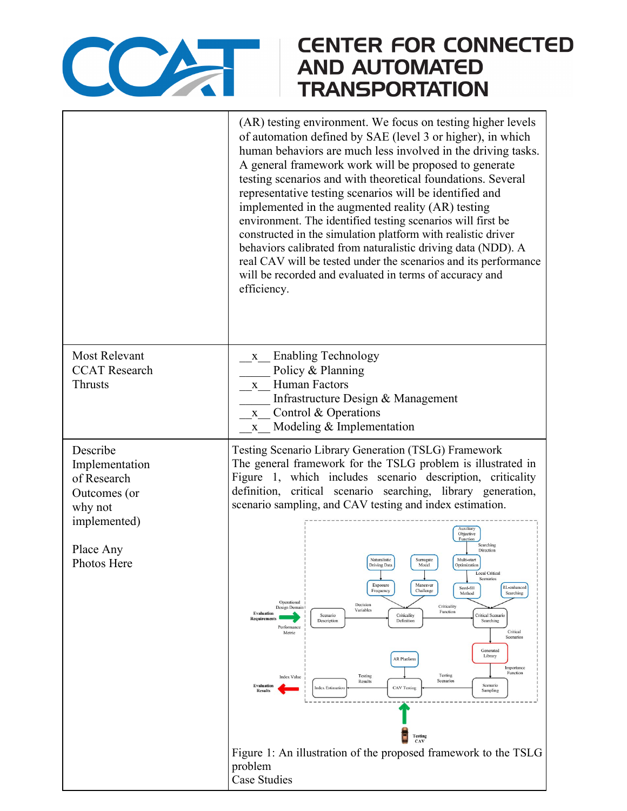

## **CENTER FOR CONNECTED AND AUTOMATED TRANSPORTATION**

|                                                                                                                  | (AR) testing environment. We focus on testing higher levels<br>of automation defined by SAE (level 3 or higher), in which<br>human behaviors are much less involved in the driving tasks.<br>A general framework work will be proposed to generate<br>testing scenarios and with theoretical foundations. Several<br>representative testing scenarios will be identified and<br>implemented in the augmented reality (AR) testing<br>environment. The identified testing scenarios will first be<br>constructed in the simulation platform with realistic driver<br>behaviors calibrated from naturalistic driving data (NDD). A<br>real CAV will be tested under the scenarios and its performance<br>will be recorded and evaluated in terms of accuracy and<br>efficiency.                                                                                                                                                                                                                                                                                                                                                                                                                                                                               |
|------------------------------------------------------------------------------------------------------------------|-------------------------------------------------------------------------------------------------------------------------------------------------------------------------------------------------------------------------------------------------------------------------------------------------------------------------------------------------------------------------------------------------------------------------------------------------------------------------------------------------------------------------------------------------------------------------------------------------------------------------------------------------------------------------------------------------------------------------------------------------------------------------------------------------------------------------------------------------------------------------------------------------------------------------------------------------------------------------------------------------------------------------------------------------------------------------------------------------------------------------------------------------------------------------------------------------------------------------------------------------------------|
| <b>Most Relevant</b><br><b>CCAT</b> Research<br><b>Thrusts</b>                                                   | <b>Enabling Technology</b><br>$\mathbf{X}$<br>Policy & Planning<br><b>Human Factors</b><br>$\mathbf{X}$<br>Infrastructure Design & Management<br>Control & Operations<br>$\mathbf X$<br>Modeling & Implementation<br>$\mathbf{X}$                                                                                                                                                                                                                                                                                                                                                                                                                                                                                                                                                                                                                                                                                                                                                                                                                                                                                                                                                                                                                           |
| Describe<br>Implementation<br>of Research<br>Outcomes (or<br>why not<br>implemented)<br>Place Any<br>Photos Here | Testing Scenario Library Generation (TSLG) Framework<br>The general framework for the TSLG problem is illustrated in<br>Figure 1, which includes scenario description, criticality<br>definition, critical scenario searching, library generation,<br>scenario sampling, and CAV testing and index estimation.<br>Auxiliary<br>Objective<br><b>Function</b><br>Searching<br>Direction<br>Naturalistic<br>Multi-start<br>Surrogate<br>Driving Data<br>Model<br>Optimization<br>Scenarios<br>Exposure<br>Maneuver<br>RL-enhanced<br>Seed-fill<br>Frequency<br>Challenge<br>Searching<br>Method<br>Operational<br>Decision<br>Criticality<br>Design Domain<br>Variables<br>Function<br><b>Evaluation</b><br>Scenario<br>Criticality<br>Critical Scenario<br><b>Requirements</b><br>Definition<br>Description<br>Searching<br>Performance<br>Critical<br>Metric<br>Scenarios<br>Generated<br>Library<br><b>AR</b> Platform<br>Importance<br>Function<br>Testing<br>Testing<br><b>Index Value</b><br>Scenarios<br>Results<br>Evaluation<br>Scenario<br><b>Index Estimation</b><br><b>CAV Testing</b><br>Sampling<br><b>Results</b><br><b>Testing</b><br>CAV<br>Figure 1: An illustration of the proposed framework to the TSLG<br>problem<br><b>Case Studies</b> |